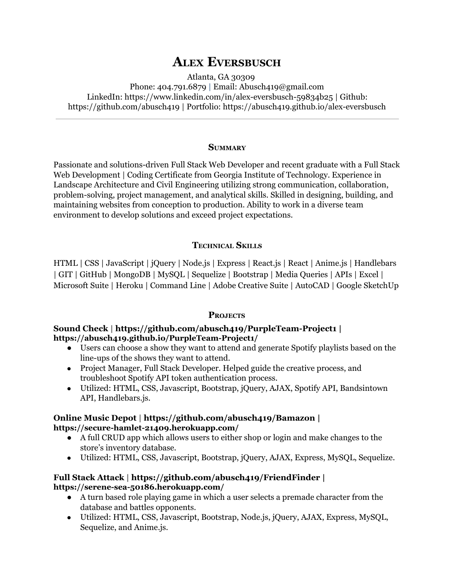# **ALEX EVERSBUSCH**

Atlanta, GA 30309 Phone:  $404.791.6879$  | Email: Abusch $419@g$ mail.com LinkedIn: [https://www.linkedin.com/in/alex-eversbusch-59834b25](https://www.linkedin.com/in/alex-eversbusch-59834b25/) | Github: <https://github.com/abusch419> | Portfolio: [https://abusch419.github.io/a](https://abusch419.github.io/alex-eversbusch)lex-eversbusch

#### **SUMMARY**

Passionate and solutions-driven Full Stack Web Developer and recent graduate with a Full Stack Web Development | Coding Certificate from Georgia Institute of Technology. Experience in Landscape Architecture and Civil Engineering utilizing strong communication, collaboration, problem-solving, project management, and analytical skills. Skilled in designing, building, and maintaining websites from conception to production. Ability to work in a diverse team environment to develop solutions and exceed project expectations.

#### **TECHNICAL SKILLS**

HTML | CSS | JavaScript | jQuery | Node.js | Express | React.js | React | Anime.js | Handlebars | GIT | GitHub | MongoDB | MySQL | Sequelize | Bootstrap | Media Queries | APIs | Excel | Microsoft Suite | Heroku | Command Line | Adobe Creative Suite | AutoCAD | Google SketchUp

#### **PROJECTS**

#### **Sound Check** | **[https://github.com/abusch419/PurpleTeamProject1](https://github.com/abusch419/PurpleTeam-Project1) |** https://abusch419.github.io/PurpleTeam-Project1/

- **●** Users can choose a show they want to attend and generate Spotify playlists based on the line-ups of the shows they want to attend.
- **●** Project Manager, Full Stack Developer. Helped guide the creative process, and troubleshoot Spotify API token authentication process.
- **●** Utilized: HTML, CSS, Javascript, Bootstrap, jQuery, AJAX, Spotify API, Bandsintown API, Handlebars.js.

#### **Online Music Depot** | **<https://github.com/abusch419/Bamazon> |** https://secure-hamlet-21409.herokuapp.com/

- **●** A full CRUD app which allows users to either shop or login and make changes to the store's inventory database.
- **●** Utilized: HTML, CSS, Javascript, Bootstrap, jQuery, AJAX, Express, MySQL, Sequelize.

## **Full Stack Attack** | **<https://github.com/abusch419/FriendFinder> | https://serenesea50186.herokuapp.com/**

- **●** A turn based role playing game in which a user selects a premade character from the database and battles opponents.
- **●** Utilized: HTML, CSS, Javascript, Bootstrap, Node.js, jQuery, AJAX, Express, MySQL, Sequelize, and Anime.js.